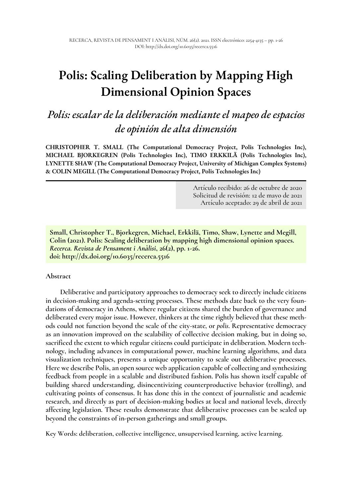# **Polis: Scaling Deliberation by Mapping High Dimensional Opinion Spaces**

# *Polis: escalar de la deliberación mediante el mapeo de espacios de opinión de alta dimensión*

**CHRISTOPHER T. SMALL (The Computational Democracy Project, Polis Technologies Inc), MICHAEL BJORKEGREN (Polis Technologies Inc), TIMO ERKKILÄ (Polis Technologies Inc), LYNETTE SHAW (The Computational Democracy Project, University of Michigan Complex Systems) & COLIN MEGILL (The Computational Democracy Project, Polis Technologies Inc)** 

> Artículo recibido: 26 de octubre de 2020 Solicitud de revisión: 12 de mayo de 2021 Artículo aceptado: 29 de abril de 2021

**Small, Christopher T., Bjorkegren, Michael, Erkkilä, Timo, Shaw, Lynette and Megill, Colin (2021). Polis: Scaling deliberation by mapping high dimensional opinion spaces.**  *Recerca. Revista de Pensament i Anàlisi***, 26(2), pp. 1-26. doi: http://dx.doi.org/10.6035/recerca.5516**

#### **Abstract**

**Deliberative and participatory approaches to democracy seek to directly include citizens in decision-making and agenda-setting processes. These methods date back to the very foundations of democracy in Athens, where regular citizens shared the burden of governance and deliberated every major issue. However, thinkers at the time rightly believed that these methods could not function beyond the scale of the city-state, or** *polis***. Representative democracy as an innovation improved on the scalability of collective decision making, but in doing so, sacrificed the extent to which regular citizens could participate in deliberation. Modern technology, including advances in computational power, machine learning algorithms, and data visualization techniques, presents a unique opportunity to scale out deliberative processes. Here we describe Polis, an open source web application capable of collecting and synthesizing feedback from people in a scalable and distributed fashion. Polis has shown itself capable of building shared understanding, disincentivizing counterproductive behavior (trolling), and cultivating points of consensus. It has done this in the context of journalistic and academic research, and directly as part of decision-making bodies at local and national levels, directly affecting legislation. These results demonstrate that deliberative processes can be scaled up beyond the constraints of in-person gatherings and small groups.** 

**Key Words: deliberation, collective intelligence, unsupervised learning, active learning.**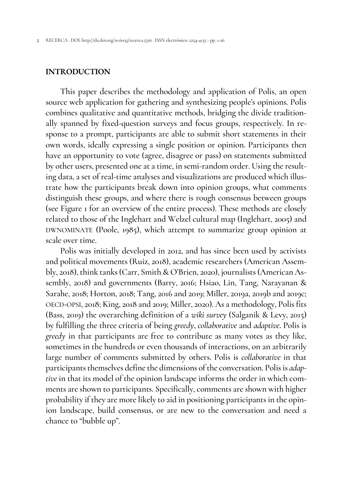#### **INTRODUCTION**

This paper describes the methodology and application of Polis, an open source web application for gathering and synthesizing people's opinions. Polis combines qualitative and quantitative methods, bridging the divide traditionally spanned by fixed-question surveys and focus groups, respectively. In response to a prompt, participants are able to submit short statements in their own words, ideally expressing a single position or opinion. Participants then have an opportunity to vote (agree, disagree or pass) on statements submitted by other users, presented one at a time, in semi-random order. Using the resulting data, a set of real-time analyses and visualizations are produced which illustrate how the participants break down into opinion groups, what comments distinguish these groups, and where there is rough consensus between groups (see Figure 1 for an overview of the entire process). These methods are closely related to those of the Inglehart and Welzel cultural map (Inglehart, 2005) and DWNOMINATE (Poole, 1985), which attempt to summarize group opinion at scale over time.

Polis was initially developed in 2012, and has since been used by activists and political movements (Ruiz, 2018), academic researchers (American Assembly, 2018), think tanks (Carr, Smith & O'Brien, 2020), journalists (American Assembly, 2018) and governments (Barry, 2016; Hsiao, Lin, Tang, Narayanan & Sarahe, 2018; Horton, 2018; Tang, 2016 and 2019; Miller, 2019a, 2019b and 2019c; OECD-OPSI, 2018; King, 2018 and 2019; Miller, 2020). As a methodology, Polis fits (Bass, 2019) the overarching definition of a *wiki survey* (Salganik & Levy, 2015) by fulfilling the three criteria of being *greedy*, *collaborative* and *adaptive*. Polis is *greedy* in that participants are free to contribute as many votes as they like, sometimes in the hundreds or even thousands of interactions, on an arbitrarily large number of comments submitted by others. Polis is *collaborative* in that participants themselves define the dimensions of the conversation. Polis is *adaptive* in that its model of the opinion landscape informs the order in which comments are shown to participants. Specifically, comments are shown with higher probability if they are more likely to aid in positioning participants in the opinion landscape, build consensus, or are new to the conversation and need a chance to "bubble up".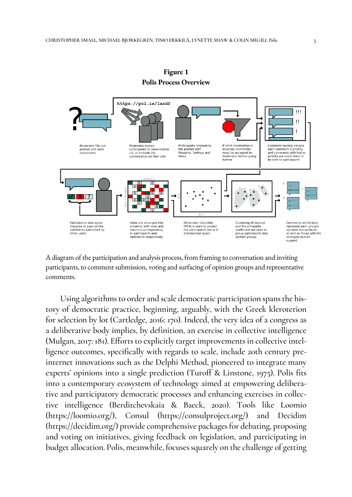

**Figure 1 Polis Process Overview** 

A diagram of the participation and analysis process, from framing to conversation and inviting participants, to comment submission, voting and surfacing of opinion groups and representative comments.

Using algorithms to order and scale democratic participation spans the history of democratic practice, beginning, arguably, with the Greek kleroterion for selection by lot (Cartledge, 2016: 170). Indeed, the very idea of a congress as a deliberative body implies, by definition, an exercise in collective intelligence (Mulgan, 2017: 181). Efforts to explicitly target improvements in collective intelligence outcomes, specifically with regards to scale, include 20th century preinternet innovations such as the Delphi Method, pioneered to integrate many experts' opinions into a single prediction (Turoff & Linstone, 1975). Polis fits into a contemporary ecosystem of technology aimed at empowering deliberative and participatory democratic processes and enhancing exercises in collective intelligence (Berditchevskaia & Baeck, 2020). Tools like Loomio (https://loomio.org/), Consul (https://consulproject.org/) and Decidim (https://decidim.org/) provide comprehensive packages for debating, proposing and voting on initiatives, giving feedback on legislation, and participating in budget allocation. Polis, meanwhile, focuses squarely on the challenge of getting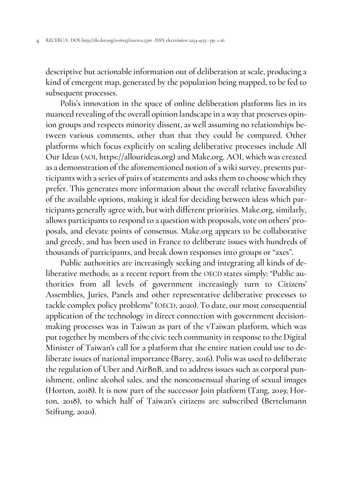descriptive but actionable information out of deliberation at scale, producing a kind of emergent map, generated by the population being mapped, to be fed to subsequent processes.

Polis's innovation in the space of online deliberation platforms lies in its nuanced revealing of the overall opinion landscape in a way that preserves opinion groups and respects minority dissent, as well assuming no relationships between various comments, other than that they could be compared. Other platforms which focus explicitly on scaling deliberative processes include All Our Ideas (AOI, https://allourideas.org) and Make.org. AOI, which was created as a demonstration of the aforementioned notion of a wiki survey, presents participants with a series of pairs of statements and asks them to choose which they prefer. This generates more information about the overall relative favorability of the available options, making it ideal for deciding between ideas which participants generally agree with, but with different priorities. Make.org, similarly, allows participants to respond to a question with proposals, vote on others' proposals, and elevate points of consensus. Make.org appears to be collaborative and greedy, and has been used in France to deliberate issues with hundreds of thousands of participants, and break down responses into groups or "axes".

Public authorities are increasingly seeking and integrating all kinds of deliberative methods; as a recent report from the OECD states simply: "Public authorities from all levels of government increasingly turn to Citizens' Assemblies, Juries, Panels and other representative deliberative processes to tackle complex policy problems" (OECD, 2020). To date, our most consequential application of the technology in direct connection with government decisionmaking processes was in Taiwan as part of the vTaiwan platform, which was put together by members of the civic tech community in response to the Digital Minister of Taiwan's call for a platform that the entire nation could use to deliberate issues of national importance (Barry, 2016). Polis was used to deliberate the regulation of Uber and AirBnB, and to address issues such as corporal punishment, online alcohol sales, and the nonconsensual sharing of sexual images (Horton, 2018). It is now part of the successor Join platform (Tang, 2019; Horton, 2018), to which half of Taiwan's citizens are subscribed (Bertelsmann Stiftung, 2020).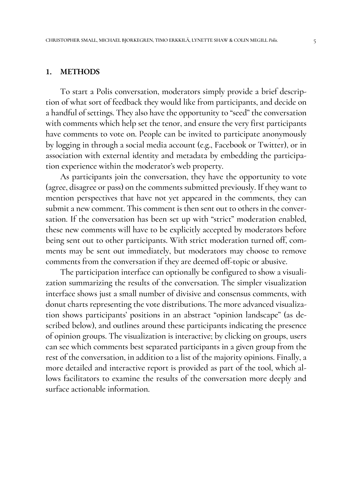#### **1. METHODS**

To start a Polis conversation, moderators simply provide a brief description of what sort of feedback they would like from participants, and decide on a handful of settings. They also have the opportunity to "seed" the conversation with comments which help set the tenor, and ensure the very first participants have comments to vote on. People can be invited to participate anonymously by logging in through a social media account (e.g., Facebook or Twitter), or in association with external identity and metadata by embedding the participation experience within the moderator's web property.

As participants join the conversation, they have the opportunity to vote (agree, disagree or pass) on the comments submitted previously. If they want to mention perspectives that have not yet appeared in the comments, they can submit a new comment. This comment is then sent out to others in the conversation. If the conversation has been set up with "strict" moderation enabled, these new comments will have to be explicitly accepted by moderators before being sent out to other participants. With strict moderation turned off, comments may be sent out immediately, but moderators may choose to remove comments from the conversation if they are deemed off-topic or abusive.

The participation interface can optionally be configured to show a visualization summarizing the results of the conversation. The simpler visualization interface shows just a small number of divisive and consensus comments, with donut charts representing the vote distributions. The more advanced visualization shows participants' positions in an abstract "opinion landscape" (as described below), and outlines around these participants indicating the presence of opinion groups. The visualization is interactive; by clicking on groups, users can see which comments best separated participants in a given group from the rest of the conversation, in addition to a list of the majority opinions. Finally, a more detailed and interactive report is provided as part of the tool, which allows facilitators to examine the results of the conversation more deeply and surface actionable information.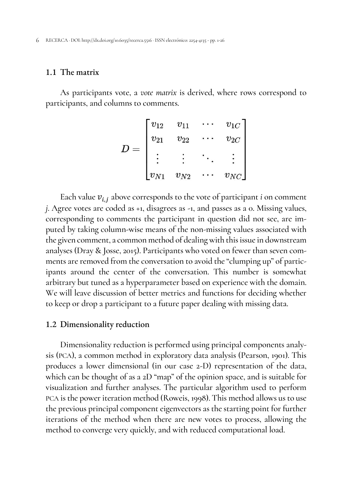# 1.1 The matrix

As participants vote, a *vote matrix* is derived, where rows correspond to participants, and columns to comments.

$$
D = \begin{bmatrix} v_{12} & v_{11} & \cdots & v_{1C} \\ v_{21} & v_{22} & \cdots & v_{2C} \\ \vdots & \vdots & \ddots & \vdots \\ v_{N1} & v_{N2} & \cdots & v_{NC} \end{bmatrix}
$$

Each value  $v_{i,j}$  above corresponds to the vote of participant *i* on comment *j*. Agree votes are coded as +1, disagrees as -1, and passes as a 0. Missing values, corresponding to comments the participant in question did not see, are imputed by taking column-wise means of the non-missing values associated with the given comment, a common method of dealing with this issue in downstream analyses (Dray & Josse, 2015). Participants who voted on fewer than seven comments are removed from the conversation to avoid the "clumping up" of participants around the center of the conversation. This number is somewhat arbitrary but tuned as a hyperparameter based on experience with the domain. We will leave discussion of better metrics and functions for deciding whether to keep or drop a participant to a future paper dealing with missing data.

#### 1.2 Dimensionality reduction

Dimensionality reduction is performed using principal components analysis (PCA), a common method in exploratory data analysis (Pearson, 1901). This produces a lower dimensional (in our case 2-D) representation of the data, which can be thought of as a 2D "map" of the opinion space, and is suitable for visualization and further analyses. The particular algorithm used to perform PCA is the power iteration method (Roweis, 1998). This method allows us to use the previous principal component eigenvectors as the starting point for further iterations of the method when there are new votes to process, allowing the method to converge very quickly, and with reduced computational load.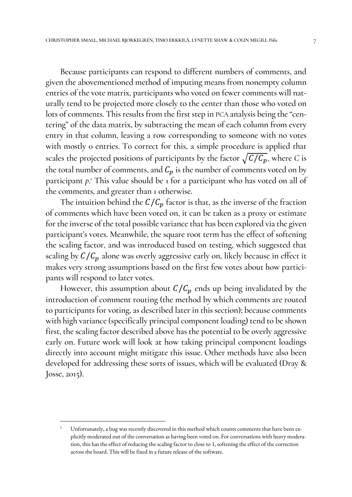Because participants can respond to different numbers of comments, and given the abovementioned method of imputing means from nonempty column entries of the vote matrix, participants who voted on fewer comments will naturally tend to be projected more closely to the center than those who voted on lots of comments. This results from the first step in PCA analysis being the "centering" of the data matrix, by subtracting the mean of each column from every entry in that column, leaving a row corresponding to someone with no votes with mostly 0 entries. To correct for this, a simple procedure is applied that scales the projected positions of participants by the factor  $\sqrt{C/C_p}$ , where *C* is the total number of comments, and  $C_p$  is the number of comments voted on by participant *p*.<sup>1</sup> This value should be 1 for a participant who has voted on all of the comments, and greater than 1 otherwise.

The intuition behind the  $C/C_p$  factor is that, as the inverse of the fraction of comments which have been voted on, it can be taken as a proxy or estimate for the inverse of the total possible variance that has been explored via the given participant's votes. Meanwhile, the square root term has the effect of softening the scaling factor, and was introduced based on testing, which suggested that scaling by  $C/C_p$  alone was overly aggressive early on, likely because in effect it makes very strong assumptions based on the first few votes about how participants will respond to later votes.

However, this assumption about  $C/C_p$  ends up being invalidated by the introduction of comment routing (the method by which comments are routed to participants for voting, as described later in this section); because comments with high variance (specifically principal component loading) tend to be shown first, the scaling factor described above has the potential to be overly aggressive early on. Future work will look at how taking principal component loadings directly into account might mitigate this issue. Other methods have also been developed for addressing these sorts of issues, which will be evaluated (Dray & Josse, 2015).

 $\overline{a}$ 

<sup>1</sup> Unfortunately, a bug was recently discovered in this method which counts comments that have been explicitly moderated out of the conversation as having been voted on. For conversations with heavy moderation, this has the effect of reducing the scaling factor to close to 1, softening the effect of the correction across the board. This will be fixed in a future release of the software.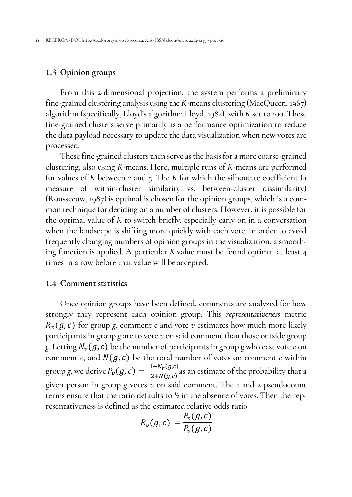# 1.3 Opinion groups

From this 2-dimensional projection, the system performs a preliminary fine-grained clustering analysis using the *K*-means clustering (MacQueen, 1967) algorithm (specifically, Lloyd's algorithm; Lloyd, 1982), with *K* set to 100. These fine-grained clusters serve primarily as a performance optimization to reduce the data payload necessary to update the data visualization when new votes are processed.

These fine-grained clusters then serve as the basis for a more coarse-grained clustering, also using *K*-means. Here, multiple runs of *K*-means are performed for values of *K* between 2 and 5. The *K* for which the silhouette coefficient (a measure of within-cluster similarity vs. between-cluster dissimilarity) (Rousseeuw, 1987) is optimal is chosen for the opinion groups, which is a common technique for deciding on a number of clusters. However, it is possible for the optimal value of *K* to switch briefly, especially early on in a conversation when the landscape is shifting more quickly with each vote. In order to avoid frequently changing numbers of opinion groups in the visualization, a smoothing function is applied. A particular *K* value must be found optimal at least 4 times in a row before that value will be accepted.

# 1.4 Comment statistics

Once opinion groups have been defined, comments are analyzed for how strongly they represent each opinion group. This *representativeness* metric  $R_{\nu}(g, c)$  for group *g*, comment *c* and vote *v* estimates how much more likely participants in group *g* are to vote *v* on said comment than those outside group *g*. Letting  $N_v(g, c)$  be the number of participants in group g who cast vote *v* on comment *c*, and  $N(g, c)$  be the total number of votes on comment *c* within group g, we derive  $P_v(g, c) = \frac{1 + N_v(g, c)}{2 + N(g, c)}$  $\frac{(1 + N_y)(g,c)}{2 + N(g,c)}$  as an estimate of the probability that a given person in group *g* votes *v* on said comment. The 1 and 2 pseudocount terms ensure that the ratio defaults to ½ in the absence of votes. Then the representativeness is defined as the estimated relative odds ratio

$$
R_{\nu}(g,c) = \frac{P_{\nu}(g,c)}{P_{\nu}(\underline{g},c)}
$$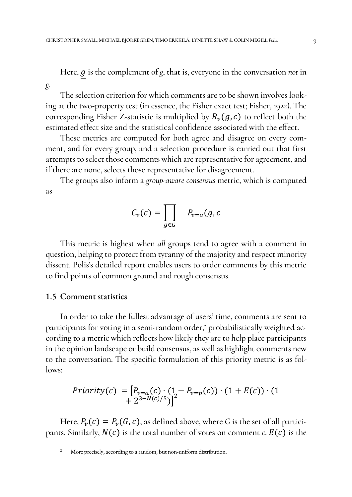Here, g is the complement of g, that is, everyone in the conversation *not* in

The selection criterion for which comments are to be shown involves looking at the two-property test (in essence, the Fisher exact test; Fisher, 1922). The corresponding Fisher Z-statistic is multiplied by  $R_v(g, c)$  to reflect both the estimated effect size and the statistical confidence associated with the effect.

These metrics are computed for both agree and disagree on every comment, and for every group, and a selection procedure is carried out that first attempts to select those comments which are representative for agreement, and if there are none, selects those representative for disagreement.

The groups also inform a *group-aware consensus* metric, which is computed as

$$
C_v(c) = \prod_{g \in G} \qquad P_{v=a}(g, c)
$$

This metric is highest when *all* groups tend to agree with a comment in question, helping to protect from tyranny of the majority and respect minority dissent. Polis's detailed report enables users to order comments by this metric to find points of common ground and rough consensus.

# 1.5 Comment statistics

 $\overline{a}$ 

*g*.

In order to take the fullest advantage of users' time, comments are sent to participants for voting in a semi-random order,<sup>2</sup> probabilistically weighted according to a metric which reflects how likely they are to help place participants in the opinion landscape or build consensus, as well as highlight comments new to the conversation. The specific formulation of this priority metric is as follows:

$$
Priority(c) = [P_{v=a}(c) \cdot (1 - P_{v=p}(c)) \cdot (1 + E(c)) \cdot (1 + 2^{3-N(c)/5})]^2
$$

Here,  $P_\nu(c) = P_\nu(G, c)$ , as defined above, where *G* is the set of all participants. Similarly,  $N(c)$  is the total number of votes on comment *c*.  $E(c)$  is the

<sup>2</sup> More precisely, according to a random, but non-uniform distribution.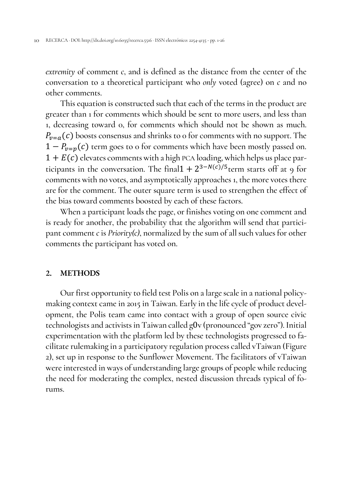*extremity* of comment *c*, and is defined as the distance from the center of the conversation to a theoretical participant who *only* voted (agree) on *c* and no other comments.

This equation is constructed such that each of the terms in the product are greater than 1 for comments which should be sent to more users, and less than 1, decreasing toward 0, for comments which should not be shown as much.  $P_{v=a}(c)$  boosts consensus and shrinks to 0 for comments with no support. The  $1 - P_{v=v}(c)$  term goes to 0 for comments which have been mostly passed on.  $1 + E(c)$  elevates comments with a high PCA loading, which helps us place participants in the conversation. The final  $1 + 2^{3-N(c)/5}$  term starts off at 9 for comments with no votes, and asymptotically approaches 1, the more votes there are for the comment. The outer square term is used to strengthen the effect of the bias toward comments boosted by each of these factors.

When a participant loads the page, or finishes voting on one comment and is ready for another, the probability that the algorithm will send that participant comment *c* is *Priority(c)*, normalized by the sum of all such values for other comments the participant has voted on.

#### **2. METHODS**

Our first opportunity to field test Polis on a large scale in a national policymaking context came in 2015 in Taiwan. Early in the life cycle of product development, the Polis team came into contact with a group of open source civic technologists and activists in Taiwan called g0v (pronounced "gov zero"). Initial experimentation with the platform led by these technologists progressed to facilitate rulemaking in a participatory regulation process called vTaiwan (Figure 2), set up in response to the Sunflower Movement. The facilitators of vTaiwan were interested in ways of understanding large groups of people while reducing the need for moderating the complex, nested discussion threads typical of forums.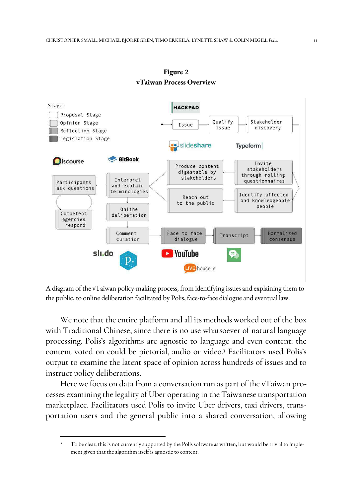

**Figure 2 vTaiwan Process Overview** 

A diagram of the vTaiwan policy-making process, from identifying issues and explaining them to the public, to online deliberation facilitated by Polis, face-to-face dialogue and eventual law.

We note that the entire platform and all its methods worked out of the box with Traditional Chinese, since there is no use whatsoever of natural language processing. Polis's algorithms are agnostic to language and even content: the content voted on could be pictorial, audio or video. <sup>3</sup> Facilitators used Polis's output to examine the latent space of opinion across hundreds of issues and to instruct policy deliberations.

Here we focus on data from a conversation run as part of the vTaiwan processes examining the legality of Uber operating in the Taiwanese transportation marketplace. Facilitators used Polis to invite Uber drivers, taxi drivers, transportation users and the general public into a shared conversation, allowing

I

<sup>3</sup> To be clear, this is not currently supported by the Polis software as written, but would be trivial to implement given that the algorithm itself is agnostic to content.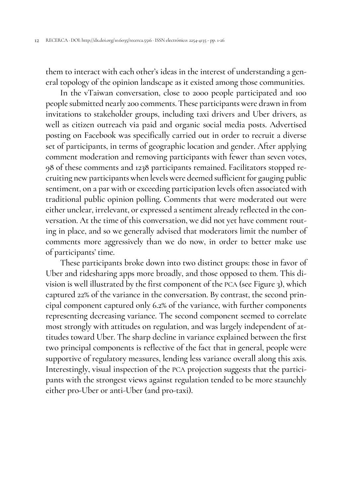them to interact with each other's ideas in the interest of understanding a general topology of the opinion landscape as it existed among those communities.

In the vTaiwan conversation, close to 2000 people participated and 100 people submitted nearly 200 comments. These participants were drawn in from invitations to stakeholder groups, including taxi drivers and Uber drivers, as well as citizen outreach via paid and organic social media posts. Advertised posting on Facebook was specifically carried out in order to recruit a diverse set of participants, in terms of geographic location and gender. After applying comment moderation and removing participants with fewer than seven votes, 98 of these comments and 1238 participants remained. Facilitators stopped recruiting new participants when levels were deemed sufficient for gauging public sentiment, on a par with or exceeding participation levels often associated with traditional public opinion polling. Comments that were moderated out were either unclear, irrelevant, or expressed a sentiment already reflected in the conversation. At the time of this conversation, we did not yet have comment routing in place, and so we generally advised that moderators limit the number of comments more aggressively than we do now, in order to better make use of participants' time.

These participants broke down into two distinct groups: those in favor of Uber and ridesharing apps more broadly, and those opposed to them. This division is well illustrated by the first component of the PCA (see Figure 3), which captured 22% of the variance in the conversation. By contrast, the second principal component captured only 6.2% of the variance, with further components representing decreasing variance. The second component seemed to correlate most strongly with attitudes on regulation, and was largely independent of attitudes toward Uber. The sharp decline in variance explained between the first two principal components is reflective of the fact that in general, people were supportive of regulatory measures, lending less variance overall along this axis. Interestingly, visual inspection of the PCA projection suggests that the participants with the strongest views against regulation tended to be more staunchly either pro-Uber or anti-Uber (and pro-taxi).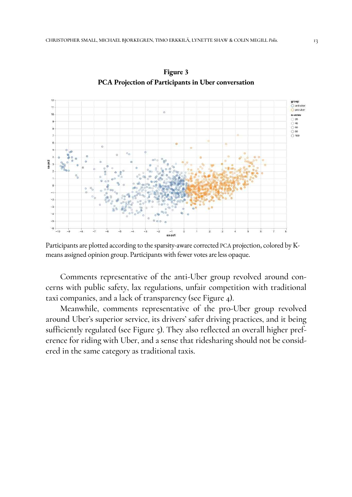

**Figure 3 PCA Projection of Participants in Uber conversation**

Participants are plotted according to the sparsity-aware corrected PCA projection, colored by Kmeans assigned opinion group. Participants with fewer votes are less opaque.

Comments representative of the anti-Uber group revolved around concerns with public safety, lax regulations, unfair competition with traditional taxi companies, and a lack of transparency (see Figure 4).

Meanwhile, comments representative of the pro-Uber group revolved around Uber's superior service, its drivers' safer driving practices, and it being sufficiently regulated (see Figure 5). They also reflected an overall higher preference for riding with Uber, and a sense that ridesharing should not be considered in the same category as traditional taxis.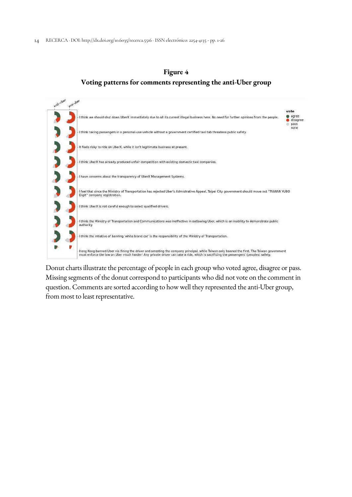



Donut charts illustrate the percentage of people in each group who voted agree, disagree or pass. Missing segments of the donut correspond to participants who did not vote on the comment in question. Comments are sorted according to how well they represented the anti-Uber group, from most to least representative.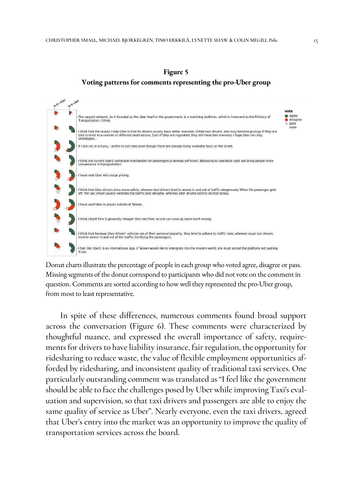

**Figure 5 Voting patterns for comments representing the pro-Uber group**

Donut charts illustrate the percentage of people in each group who voted agree, disagree or pass. Missing segments of the donut correspond to participants who did not vote on the comment in question. Comments are sorted according to how well they represented the pro-Uber group, from most to least representative.

In spite of these differences, numerous comments found broad support across the conversation (Figure 6). These comments were characterized by thoughtful nuance, and expressed the overall importance of safety, requirements for drivers to have liability insurance, fair regulation, the opportunity for ridesharing to reduce waste, the value of flexible employment opportunities afforded by ridesharing, and inconsistent quality of traditional taxi services. One particularly outstanding comment was translated as "I feel like the government should be able to face the challenges posed by Uber while improving Taxi's evaluation and supervision, so that taxi drivers and passengers are able to enjoy the same quality of service as Uber". Nearly everyone, even the taxi drivers, agreed that Uber's entry into the market was an opportunity to improve the quality of transportation services across the board.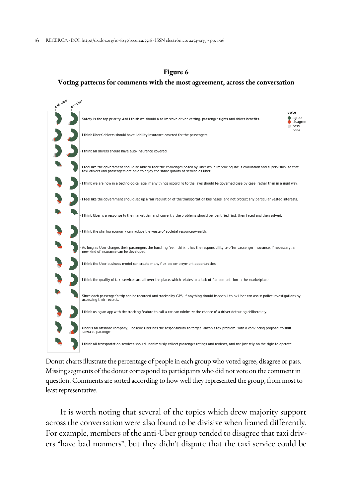### **Figure 6**

#### **Voting patterns for comments with the most agreement, across the conversation**



Donut charts illustrate the percentage of people in each group who voted agree, disagree or pass. Missing segments of the donut correspond to participants who did not vote on the comment in question. Comments are sorted according to how well they represented the group, from most to least representative.

It is worth noting that several of the topics which drew majority support across the conversation were also found to be divisive when framed differently. For example, members of the anti-Uber group tended to disagree that taxi drivers "have bad manners", but they didn't dispute that the taxi service could be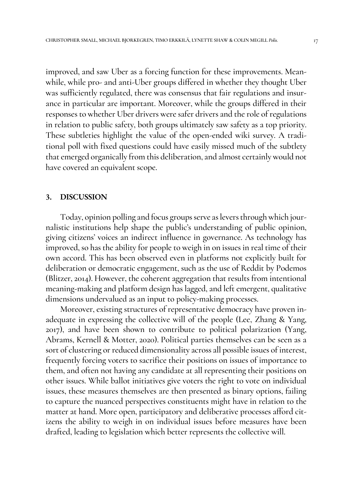improved, and saw Uber as a forcing function for these improvements. Meanwhile, while pro- and anti-Uber groups differed in whether they thought Uber was sufficiently regulated, there was consensus that fair regulations and insurance in particular are important. Moreover, while the groups differed in their responses to whether Uber drivers were safer drivers and the role of regulations in relation to public safety, both groups ultimately saw safety as a top priority. These subtleties highlight the value of the open-ended wiki survey. A traditional poll with fixed questions could have easily missed much of the subtlety that emerged organically from this deliberation, and almost certainly would not have covered an equivalent scope.

#### **3. DISCUSSION**

Today, opinion polling and focus groups serve as levers through which journalistic institutions help shape the public's understanding of public opinion, giving citizens' voices an indirect influence in governance. As technology has improved, so has the ability for people to weigh in on issues in real time of their own accord. This has been observed even in platforms not explicitly built for deliberation or democratic engagement, such as the use of Reddit by Podemos (Blitzer, 2014). However, the coherent aggregation that results from intentional meaning-making and platform design has lagged, and left emergent, qualitative dimensions undervalued as an input to policy-making processes.

Moreover, existing structures of representative democracy have proven inadequate in expressing the collective will of the people (Lee, Zhang & Yang, 2017), and have been shown to contribute to political polarization (Yang, Abrams, Kernell & Motter, 2020). Political parties themselves can be seen as a sort of clustering or reduced dimensionality across all possible issues of interest, frequently forcing voters to sacrifice their positions on issues of importance to them, and often not having any candidate at all representing their positions on other issues. While ballot initiatives give voters the right to vote on individual issues, these measures themselves are then presented as binary options, failing to capture the nuanced perspectives constituents might have in relation to the matter at hand. More open, participatory and deliberative processes afford citizens the ability to weigh in on individual issues before measures have been drafted, leading to legislation which better represents the collective will.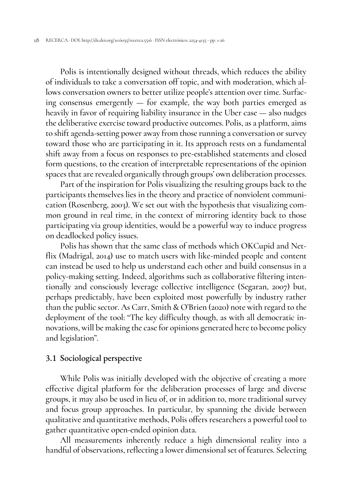Polis is intentionally designed without threads, which reduces the ability of individuals to take a conversation off topic, and with moderation, which allows conversation owners to better utilize people's attention over time. Surfacing consensus emergently — for example, the way both parties emerged as heavily in favor of requiring liability insurance in the Uber case — also nudges the deliberative exercise toward productive outcomes. Polis, as a platform, aims to shift agenda-setting power away from those running a conversation or survey toward those who are participating in it. Its approach rests on a fundamental shift away from a focus on responses to pre-established statements and closed form questions, to the creation of interpretable representations of the opinion spaces that are revealed organically through groups' own deliberation processes.

Part of the inspiration for Polis visualizing the resulting groups back to the participants themselves lies in the theory and practice of nonviolent communication (Rosenberg, 2003). We set out with the hypothesis that visualizing common ground in real time, in the context of mirroring identity back to those participating via group identities, would be a powerful way to induce progress on deadlocked policy issues.

Polis has shown that the same class of methods which OKCupid and Netflix (Madrigal, 2014) use to match users with like-minded people and content can instead be used to help us understand each other and build consensus in a policy-making setting. Indeed, algorithms such as collaborative filtering intentionally and consciously leverage collective intelligence (Segaran, 2007) but, perhaps predictably, have been exploited most powerfully by industry rather than the public sector. As Carr, Smith & O'Brien (2020) note with regard to the deployment of the tool: "The key difficulty though, as with all democratic innovations, will be making the case for opinions generated here to become policy and legislation".

# 3.1 Sociological perspective

While Polis was initially developed with the objective of creating a more effective digital platform for the deliberation processes of large and diverse groups, it may also be used in lieu of, or in addition to, more traditional survey and focus group approaches. In particular, by spanning the divide between qualitative and quantitative methods, Polis offers researchers a powerful tool to gather quantitative open-ended opinion data.

All measurements inherently reduce a high dimensional reality into a handful of observations, reflecting a lower dimensional set of features. Selecting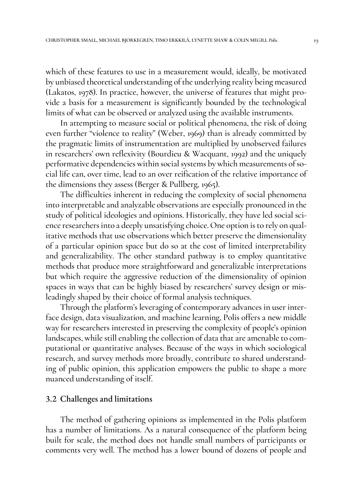which of these features to use in a measurement would, ideally, be motivated by unbiased theoretical understanding of the underlying reality being measured (Lakatos, 1978). In practice, however, the universe of features that might provide a basis for a measurement is significantly bounded by the technological limits of what can be observed or analyzed using the available instruments.

In attempting to measure social or political phenomena, the risk of doing even further "violence to reality" (Weber, 1969) than is already committed by the pragmatic limits of instrumentation are multiplied by unobserved failures in researchers' own reflexivity (Bourdieu & Wacquant, 1992) and the uniquely performative dependencies within social systems by which measurements of social life can, over time, lead to an over reification of the relative importance of the dimensions they assess (Berger & Pullberg, 1965).

The difficulties inherent in reducing the complexity of social phenomena into interpretable and analyzable observations are especially pronounced in the study of political ideologies and opinions. Historically, they have led social science researchers into a deeply unsatisfying choice. One option is to rely on qualitative methods that use observations which better preserve the dimensionality of a particular opinion space but do so at the cost of limited interpretability and generalizability. The other standard pathway is to employ quantitative methods that produce more straightforward and generalizable interpretations but which require the aggressive reduction of the dimensionality of opinion spaces in ways that can be highly biased by researchers' survey design or misleadingly shaped by their choice of formal analysis techniques.

Through the platform's leveraging of contemporary advances in user interface design, data visualization, and machine learning, Polis offers a new middle way for researchers interested in preserving the complexity of people's opinion landscapes, while still enabling the collection of data that are amenable to computational or quantitative analyses. Because of the ways in which sociological research, and survey methods more broadly, contribute to shared understanding of public opinion, this application empowers the public to shape a more nuanced understanding of itself.

#### 3.2 Challenges and limitations

The method of gathering opinions as implemented in the Polis platform has a number of limitations. As a natural consequence of the platform being built for scale, the method does not handle small numbers of participants or comments very well. The method has a lower bound of dozens of people and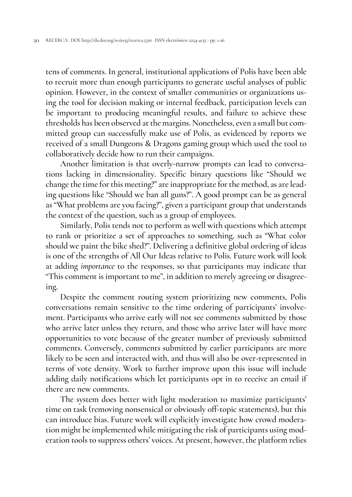tens of comments. In general, institutional applications of Polis have been able to recruit more than enough participants to generate useful analyses of public opinion. However, in the context of smaller communities or organizations using the tool for decision making or internal feedback, participation levels can be important to producing meaningful results, and failure to achieve these thresholds has been observed at the margins. Nonetheless, even a small but committed group can successfully make use of Polis, as evidenced by reports we received of a small Dungeons & Dragons gaming group which used the tool to collaboratively decide how to run their campaigns.

Another limitation is that overly-narrow prompts can lead to conversations lacking in dimensionality. Specific binary questions like "Should we change the time for this meeting?" are inappropriate for the method, as are leading questions like "Should we ban all guns?". A good prompt can be as general as "What problems are you facing?", given a participant group that understands the context of the question, such as a group of employees.

Similarly, Polis tends not to perform as well with questions which attempt to rank or prioritize a set of approaches to something, such as "What color should we paint the bike shed?". Delivering a definitive global ordering of ideas is one of the strengths of All Our Ideas relative to Polis. Future work will look at adding *importance* to the responses, so that participants may indicate that "This comment is important to me", in addition to merely agreeing or disagreeing.

Despite the comment routing system prioritizing new comments, Polis conversations remain sensitive to the time ordering of participants' involvement. Participants who arrive early will not see comments submitted by those who arrive later unless they return, and those who arrive later will have more opportunities to vote because of the greater number of previously submitted comments. Conversely, comments submitted by earlier participants are more likely to be seen and interacted with, and thus will also be over-represented in terms of vote density. Work to further improve upon this issue will include adding daily notifications which let participants opt in to receive an email if there are new comments.

The system does better with light moderation to maximize participants' time on task (removing nonsensical or obviously off-topic statements), but this can introduce bias. Future work will explicitly investigate how crowd moderation might be implemented while mitigating the risk of participants using moderation tools to suppress others' voices. At present, however, the platform relies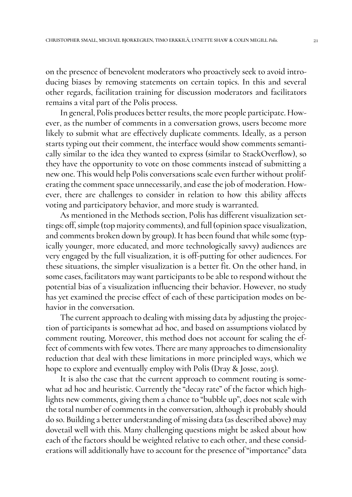on the presence of benevolent moderators who proactively seek to avoid introducing biases by removing statements on certain topics. In this and several other regards, facilitation training for discussion moderators and facilitators remains a vital part of the Polis process.

In general, Polis produces better results, the more people participate. However, as the number of comments in a conversation grows, users become more likely to submit what are effectively duplicate comments. Ideally, as a person starts typing out their comment, the interface would show comments semantically similar to the idea they wanted to express (similar to StackOverflow), so they have the opportunity to vote on those comments instead of submitting a new one. This would help Polis conversations scale even further without proliferating the comment space unnecessarily, and ease the job of moderation. However, there are challenges to consider in relation to how this ability affects voting and participatory behavior, and more study is warranted.

As mentioned in the Methods section, Polis has different visualization settings: off, simple (top majority comments), and full (opinion space visualization, and comments broken down by group). It has been found that while some (typically younger, more educated, and more technologically savvy) audiences are very engaged by the full visualization, it is off-putting for other audiences. For these situations, the simpler visualization is a better fit. On the other hand, in some cases, facilitators may want participants to be able to respond without the potential bias of a visualization influencing their behavior. However, no study has yet examined the precise effect of each of these participation modes on behavior in the conversation.

The current approach to dealing with missing data by adjusting the projection of participants is somewhat ad hoc, and based on assumptions violated by comment routing. Moreover, this method does not account for scaling the effect of comments with few votes. There are many approaches to dimensionality reduction that deal with these limitations in more principled ways, which we hope to explore and eventually employ with Polis (Dray & Josse, 2015).

It is also the case that the current approach to comment routing is somewhat ad hoc and heuristic. Currently the "decay rate" of the factor which highlights new comments, giving them a chance to "bubble up", does not scale with the total number of comments in the conversation, although it probably should do so. Building a better understanding of missing data (as described above) may dovetail well with this. Many challenging questions might be asked about how each of the factors should be weighted relative to each other, and these considerations will additionally have to account for the presence of "importance" data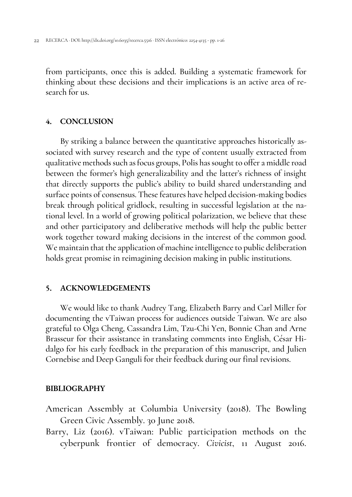from participants, once this is added. Building a systematic framework for thinking about these decisions and their implications is an active area of research for us.

# **4. CONCLUSION**

By striking a balance between the quantitative approaches historically associated with survey research and the type of content usually extracted from qualitative methods such as focus groups, Polis has sought to offer a middle road between the former's high generalizability and the latter's richness of insight that directly supports the public's ability to build shared understanding and surface points of consensus. These features have helped decision-making bodies break through political gridlock, resulting in successful legislation at the national level. In a world of growing political polarization, we believe that these and other participatory and deliberative methods will help the public better work together toward making decisions in the interest of the common good. We maintain that the application of machine intelligence to public deliberation holds great promise in reimagining decision making in public institutions.

# **5. ACKNOWLEDGEMENTS**

We would like to thank Audrey Tang, Elizabeth Barry and Carl Miller for documenting the vTaiwan process for audiences outside Taiwan. We are also grateful to Olga Cheng, Cassandra Lim, Tzu-Chi Yen, Bonnie Chan and Arne Brasseur for their assistance in translating comments into English, César Hidalgo for his early feedback in the preparation of this manuscript, and Julien Cornebise and Deep Ganguli for their feedback during our final revisions.

# **BIBLIOGRAPHY**

- American Assembly at Columbia University (2018). The Bowling Green Civic Assembly. 30 June 2018.
- Barry, Liz (2016). vTaiwan: Public participation methods on the cyberpunk frontier of democracy. *Civicist*, 11 August 2016.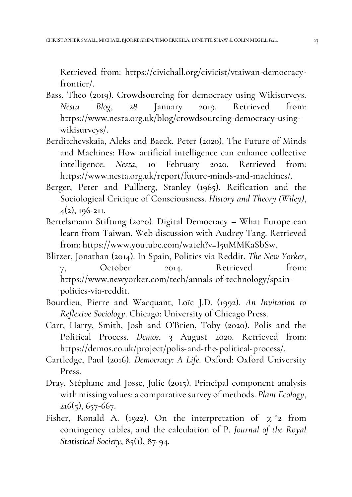Retrieved from: https://civichall.org/civicist/vtaiwan-democracyfrontier/.

- Bass, Theo (2019). Crowdsourcing for democracy using Wikisurveys. *Nesta Blog*, 28 January 2019. Retrieved from: https://www.nesta.org.uk/blog/crowdsourcing-democracy-usingwikisurveys/.
- Berditchevskaia, Aleks and Baeck, Peter (2020). The Future of Minds and Machines: How artificial intelligence can enhance collective intelligence. *Nesta*, 10 February 2020. Retrieved from: https://www.nesta.org.uk/report/future-minds-and-machines/.
- Berger, Peter and Pullberg, Stanley (1965). Reification and the Sociological Critique of Consciousness. *History and Theory (Wiley)*,  $4(2)$ , 196-211.
- Bertelsmann Stiftung (2020). Digital Democracy What Europe can learn from Taiwan. Web discussion with Audrey Tang. Retrieved from: https://www.youtube.com/watch?v=I5uMMKaSbSw.
- Blitzer, Jonathan (2014). In Spain, Politics via Reddit. *The New Yorker*, 7, October 2014. Retrieved from: https://www.newyorker.com/tech/annals-of-technology/spainpolitics-via-reddit.
- Bourdieu, Pierre and Wacquant, Loïc J.D. (1992). *An Invitation to Reflexive Sociology*. Chicago: University of Chicago Press.
- Carr, Harry, Smith, Josh and O'Brien, Toby (2020). Polis and the Political Process. *Demos*, 3 August 2020. Retrieved from: https://demos.co.uk/project/polis-and-the-political-process/.
- Cartledge, Paul (2016). *Democracy: A Life*. Oxford: Oxford University Press.
- Dray, Stéphane and Josse, Julie (2015). Principal component analysis with missing values: a comparative survey of methods. *Plant Ecology*,  $216(5)$ , 657-667.
- Fisher, Ronald A. (1922). On the interpretation of  $\chi$ <sup>2</sup> from contingency tables, and the calculation of P. *Journal of the Royal Statistical Society*, 85(1), 87-94.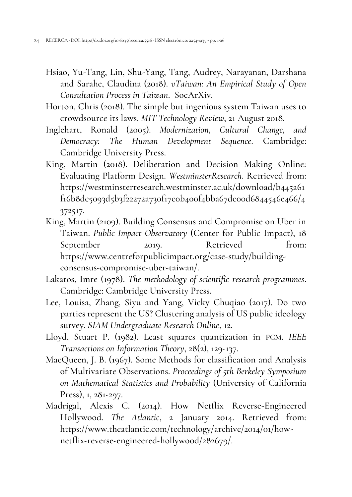- Hsiao, Yu-Tang, Lin, Shu-Yang, Tang, Audrey, Narayanan, Darshana and Sarahe, Claudina (2018). *vTaiwan: An Empirical Study of Open Consultation Process in Taiwan*. SocArXiv.
- Horton, Chris (2018). The simple but ingenious system Taiwan uses to crowdsource its laws. *MIT Technology Review*, 21 August 2018.
- Inglehart, Ronald (2005). *Modernization, Cultural Change, and Democracy: The Human Development Sequence*. Cambridge: Cambridge University Press.
- King, Martin (2018). Deliberation and Decision Making Online: Evaluating Platform Design. *WestminsterResearch*. Retrieved from: https://westminsterresearch.westminster.ac.uk/download/b445a61 f16b8dc5093d5b3f22272a730f17c0b400f4bba67dc00d6844546e466/4 372517.
- King, Martin (2109). Building Consensus and Compromise on Uber in Taiwan. *Public Impact Observatory* (Center for Public Impact), 18 September 2019. Retrieved from: https://www.centreforpublicimpact.org/case-study/buildingconsensus-compromise-uber-taiwan/.
- Lakatos, Imre (1978). *The methodology of scientific research programmes*. Cambridge: Cambridge University Press.
- Lee, Louisa, Zhang, Siyu and Yang, Vicky Chuqiao (2017). Do two parties represent the US? Clustering analysis of US public ideology survey. *SIAM Undergraduate Research Online*, 12.
- Lloyd, Stuart P. (1982). Least squares quantization in PCM. *IEEE Transactions on Information Theory*, 28(2), 129-137.
- MacQueen, J. B. (1967). Some Methods for classification and Analysis of Multivariate Observations. *Proceedings of 5th Berkeley Symposium on Mathematical Statistics and Probability* (University of California Press), 1, 281-297.
- Madrigal, Alexis C. (2014). How Netflix Reverse-Engineered Hollywood. *The Atlantic*, 2 January 2014. Retrieved from: https://www.theatlantic.com/technology/archive/2014/01/hownetflix-reverse-engineered-hollywood/282679/.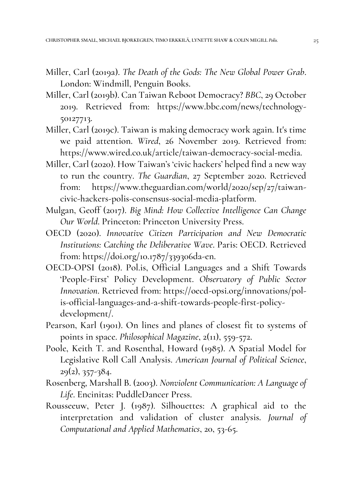- Miller, Carl (2019a). *The Death of the Gods: The New Global Power Grab*. London: Windmill, Penguin Books.
- Miller, Carl (2019b). Can Taiwan Reboot Democracy? *BBC*, 29 October 2019. Retrieved from: https://www.bbc.com/news/technology-50127713.
- Miller, Carl (2019c). Taiwan is making democracy work again. It's time we paid attention. *Wired*, 26 November 2019. Retrieved from: https://www.wired.co.uk/article/taiwan-democracy-social-media.
- Miller, Carl (2020). How Taiwan's 'civic hackers' helped find a new way to run the country. *The Guardian*, 27 September 2020. Retrieved from: https://www.theguardian.com/world/2020/sep/27/taiwancivic-hackers-polis-consensus-social-media-platform.
- Mulgan, Geoff (2017). *Big Mind: How Collective Intelligence Can Change Our World*. Princeton: Princeton University Press.
- OECD (2020). *Innovative Citizen Participation and New Democratic Institutions: Catching the Deliberative Wave*. Paris: OECD. Retrieved from: https://doi.org/10.1787/339306da-en.
- OECD-OPSI (2018). Pol.is, Official Languages and a Shift Towards 'People-First' Policy Development. *Observatory of Public Sector Innovation*. Retrieved from: https://oecd-opsi.org/innovations/polis-official-languages-and-a-shift-towards-people-first-policydevelopment/.
- Pearson, Karl (1901). On lines and planes of closest fit to systems of points in space. *Philosophical Magazine*, 2(11), 559-572.
- Poole, Keith T. and Rosenthal, Howard (1985). A Spatial Model for Legislative Roll Call Analysis. *American Journal of Political Science*, 29(2), 357-384.
- Rosenberg, Marshall B. (2003). *Nonviolent Communication: A Language of Life*. Encinitas: PuddleDancer Press.
- Rousseeuw, Peter J. (1987). Silhouettes: A graphical aid to the interpretation and validation of cluster analysis. *Journal of Computational and Applied Mathematics*, 20, 53-65.